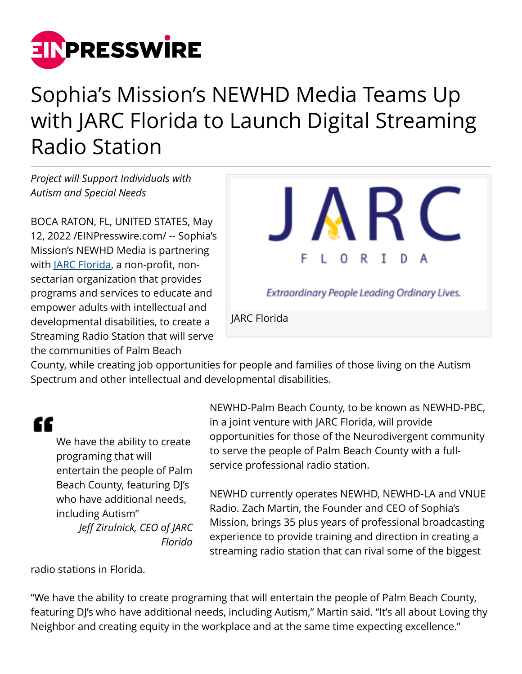

## Sophia's Mission's NEWHD Media Teams Up with JARC Florida to Launch Digital Streaming Radio Station

*Project will Support Individuals with Autism and Special Needs*

BOCA RATON, FL, UNITED STATES, May 12, 2022 /[EINPresswire.com/](http://www.einpresswire.com) -- Sophia's Mission's NEWHD Media is partnering with <u>JARC Florida</u>, a non-profit, nonsectarian organization that provides programs and services to educate and empower adults with intellectual and developmental disabilities, to create a Streaming Radio Station that will serve the communities of Palm Beach



County, while creating job opportunities for people and families of those living on the Autism Spectrum and other intellectual and developmental disabilities.

## "

We have the ability to create programing that will entertain the people of Palm Beach County, featuring DJ's who have additional needs, including Autism" *Jeff Zirulnick, CEO of JARC Florida*

NEWHD-Palm Beach County, to be known as NEWHD-PBC, in a joint venture with JARC Florida, will provide opportunities for those of the Neurodivergent community to serve the people of Palm Beach County with a fullservice professional radio station.

NEWHD currently operates NEWHD, NEWHD-LA and VNUE Radio. Zach Martin, the Founder and CEO of Sophia's Mission, brings 35 plus years of professional broadcasting experience to provide training and direction in creating a streaming radio station that can rival some of the biggest

radio stations in Florida.

"We have the ability to create programing that will entertain the people of Palm Beach County, featuring DJ's who have additional needs, including Autism," Martin said. "It's all about Loving thy Neighbor and creating equity in the workplace and at the same time expecting excellence."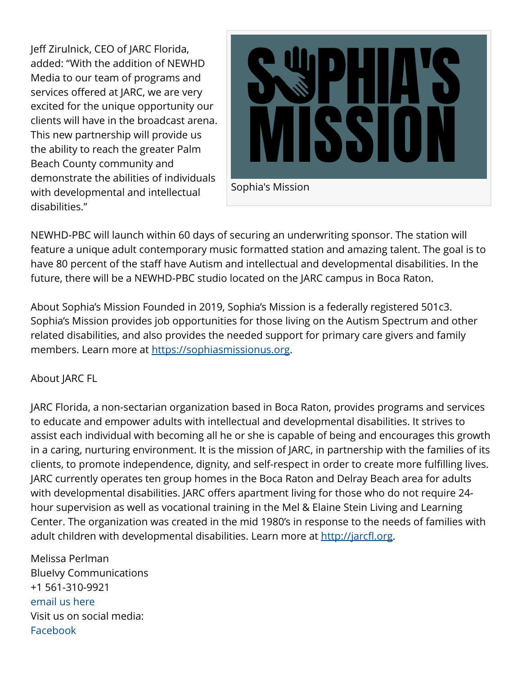Jeff Zirulnick, CEO of JARC Florida, added: "With the addition of NEWHD Media to our team of programs and services offered at JARC, we are very excited for the unique opportunity our clients will have in the broadcast arena. This new partnership will provide us the ability to reach the greater Palm Beach County community and demonstrate the abilities of individuals with developmental and intellectual disabilities."



NEWHD-PBC will launch within 60 days of securing an underwriting sponsor. The station will feature a unique adult contemporary music formatted station and amazing talent. The goal is to have 80 percent of the staff have Autism and intellectual and developmental disabilities. In the future, there will be a NEWHD-PBC studio located on the JARC campus in Boca Raton.

About Sophia's Mission Founded in 2019, Sophia's Mission is a federally registered 501c3. Sophia's Mission provides job opportunities for those living on the Autism Spectrum and other related disabilities, and also provides the needed support for primary care givers and family members. Learn more at <https://sophiasmissionus.org>.

## About JARC FL

JARC Florida, a non-sectarian organization based in Boca Raton, provides programs and services to educate and empower adults with intellectual and developmental disabilities. It strives to assist each individual with becoming all he or she is capable of being and encourages this growth in a caring, nurturing environment. It is the mission of JARC, in partnership with the families of its clients, to promote independence, dignity, and self-respect in order to create more fulfilling lives. JARC currently operates ten group homes in the Boca Raton and Delray Beach area for adults with developmental disabilities. JARC offers apartment living for those who do not require 24 hour supervision as well as vocational training in the Mel & Elaine Stein Living and Learning Center. The organization was created in the mid 1980's in response to the needs of families with adult children with developmental disabilities. Learn more at [http://jarcfl.org.](http://jarcfl.org)

Melissa Perlman BlueIvy Communications +1 561-310-9921 [email us here](http://www.einpresswire.com/contact_author/3483715) Visit us on social media: [Facebook](https://www.facebook.com/BlueIvyCommunications)